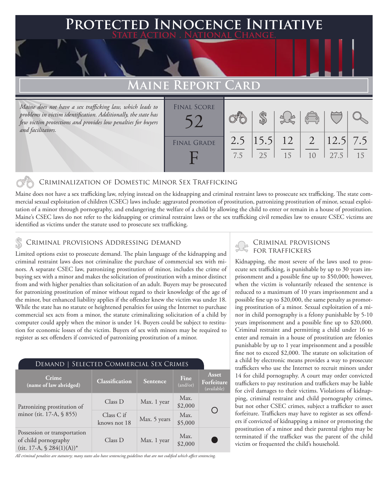### **PTED INNOCENCE INITIATIVE State Action . National Change.**

## **Maine Report Card**

*Maine does not have a sex trafficking law, which leads to problems in victim identification. Additionally, the state has few victim protections and provides low penalties for buyers and facilitators.*

| .                  | . – <i>.</i> |    |                       |                                                            |                      |    |
|--------------------|--------------|----|-----------------------|------------------------------------------------------------|----------------------|----|
| <b>FINAL SCORE</b> |              |    |                       | $\begin{pmatrix} 0 & 0 \\ 0 & 0 \end{pmatrix}$             |                      |    |
| <b>FINAL GRADE</b> | 7.5          | 25 | $2.5$  15.5  12<br>15 | $\begin{array}{ c c c }\n\hline\n1 & 2\n\end{array}$<br>10 | $ 12.5 $ 7.5<br>27.5 | 15 |

### Criminalization of Domestic Minor Sex Trafficking

Maine does not have a sex trafficking law, relying instead on the kidnapping and criminal restraint laws to prosecute sex trafficking. The state commercial sexual exploitation of children (CSEC) laws include: aggravated promotion of prostitution, patronizing prostitution of minor, sexual exploitation of a minor through pornography, and endangering the welfare of a child by allowing the child to enter or remain in a house of prostitution. Maine's CSEC laws do not refer to the kidnapping or criminal restraint laws or the sex trafficking civil remedies law to ensure CSEC victims are identified as victims under the statute used to prosecute sex trafficking.

### Criminal provisions Addressing demand

Limited options exist to prosecute demand. The plain language of the kidnapping and criminal restraint laws does not criminalize the purchase of commercial sex with minors. A separate CSEC law, patronizing prostitution of minor, includes the crime of buying sex with a minor and makes the solicitation of prostitution with a minor distinct from and with higher penalties than solicitation of an adult. Buyers may be prosecuted for patronizing prostitution of minor without regard to their knowledge of the age of the minor, but enhanced liability applies if the offender knew the victim was under 18. While the state has no statute or heightened penalties for using the Internet to purchase commercial sex acts from a minor, the statute criminalizing solicitation of a child by computer could apply when the minor is under 14. Buyers could be subject to restitution for economic losses of the victim. Buyers of sex with minors may be required to register as sex offenders if convicted of patronizing prostitution of a minor.

| DEMAND   SELECTED COMMERCIAL SEX CRIMES                                                         |                            |                 |                  |                                           |  |  |  |  |
|-------------------------------------------------------------------------------------------------|----------------------------|-----------------|------------------|-------------------------------------------|--|--|--|--|
| Crime<br>(name of law abridged)                                                                 | <b>Classification</b>      | <b>Sentence</b> | Fine<br>(and/or) | <b>Asset</b><br>Forfeiture<br>(available) |  |  |  |  |
| Patronizing prostitution of                                                                     | Class D                    | Max. 1 year     | Max.<br>\$2,000  |                                           |  |  |  |  |
| minor (tit. 17-A, § 855)                                                                        | Class C if<br>knows not 18 | Max. 5 years    | Max.<br>\$5,000  |                                           |  |  |  |  |
| Possession or transportation<br>of child pornography<br>(tit. 17-A, $\$ 284(1)(A)$ <sup>*</sup> | Class D                    | Max. 1 year     | Max.<br>\$2,000  |                                           |  |  |  |  |

*All criminal penalties are statutory; many states also have sentencing guidelines that are not codified which affect sentencing.* 

# Criminal provisions

Kidnapping, the most severe of the laws used to prosecute sex trafficking, is punishable by up to 30 years imprisonment and a possible fine up to \$50,000; however, when the victim is voluntarily released the sentence is reduced to a maximum of 10 years imprisonment and a possible fine up to \$20,000, the same penalty as promoting prostitution of a minor. Sexual exploitation of a minor in child pornography is a felony punishable by 5-10 years imprisonment and a possible fine up to \$20,000. Criminal restraint and permitting a child under 16 to enter and remain in a house of prostitution are felonies punishable by up to 1 year imprisonment and a possible fine not to exceed \$2,000. The statute on solicitation of a child by electronic means provides a way to prosecute traffickers who use the Internet to recruit minors under 14 for child pornography. A court may order convicted traffickers to pay restitution and traffickers may be liable for civil damages to their victims. Violations of kidnapping, criminal restraint and child pornography crimes, but not other CSEC crimes, subject a trafficker to asset forfeiture. Traffickers may have to register as sex offenders if convicted of kidnapping a minor or promoting the prostitution of a minor and their parental rights may be terminated if the trafficker was the parent of the child victim or frequented the child's household.